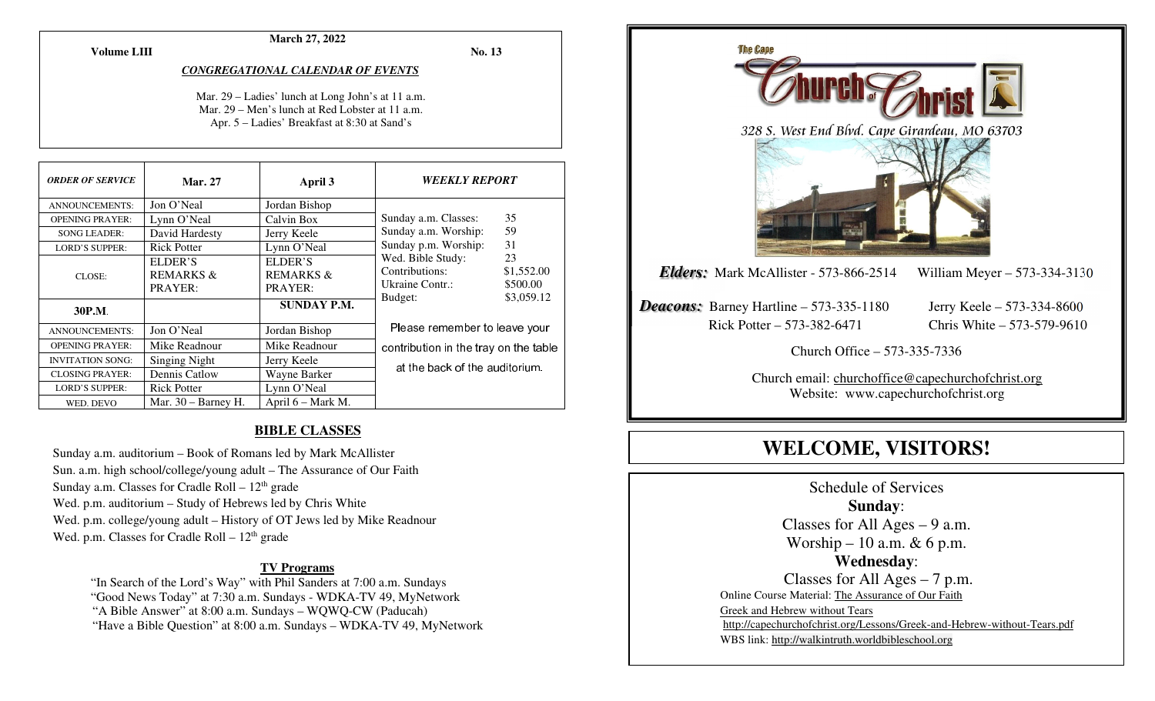**Volume LIII**

#### **March 27, 2022**

**No. 13** 

#### *CONGREGATIONAL CALENDAR OF EVENTS*

Mar. 29 – Ladies' lunch at Long John's at 11 a.m. Mar. 29 – Men's lunch at Red Lobster at 11 a.m. Apr. 5 – Ladies' Breakfast at 8:30 at Sand's

| <b>ORDER OF SERVICE</b> | <b>Mar. 27</b>                  | April 3                                    | <i><b>WEEKLY REPORT</b></i>                                                                                                                   |    |
|-------------------------|---------------------------------|--------------------------------------------|-----------------------------------------------------------------------------------------------------------------------------------------------|----|
| <b>ANNOUNCEMENTS:</b>   | Jon O'Neal                      | Jordan Bishop                              |                                                                                                                                               |    |
| <b>OPENING PRAYER:</b>  | Lynn O'Neal                     | Calvin Box                                 | Sunday a.m. Classes:                                                                                                                          | 35 |
| <b>SONG LEADER:</b>     | David Hardesty                  | Jerry Keele                                | Sunday a.m. Worship:                                                                                                                          | 59 |
| <b>LORD'S SUPPER:</b>   | <b>Rick Potter</b>              | Lynn O'Neal                                | 31<br>Sunday p.m. Worship:<br>Wed. Bible Study:<br>23<br>Contributions:<br>\$1,552.00<br>Ukraine Contr.:<br>\$500.00<br>\$3,059.12<br>Budget: |    |
| CLOSE:                  | ELDER'S<br>REMARKS &<br>PRAYER: | ELDER'S<br><b>REMARKS &amp;</b><br>PRAYER: |                                                                                                                                               |    |
| 30P.M.                  |                                 | SUNDAY P.M.                                |                                                                                                                                               |    |
| <b>ANNOUNCEMENTS:</b>   | Jon O'Neal                      | Jordan Bishop                              | Please remember to leave your                                                                                                                 |    |
| <b>OPENING PRAYER:</b>  | Mike Readnour                   | Mike Readnour                              | contribution in the tray on the table                                                                                                         |    |
| <b>INVITATION SONG:</b> | <b>Singing Night</b>            | Jerry Keele                                |                                                                                                                                               |    |
| <b>CLOSING PRAYER:</b>  | Dennis Catlow                   | Wayne Barker                               | at the back of the auditorium.                                                                                                                |    |
| <b>LORD'S SUPPER:</b>   | <b>Rick Potter</b>              | Lynn O'Neal                                |                                                                                                                                               |    |
| WED. DEVO               | Mar. $30 -$ Barney H.           | April 6 – Mark M.                          |                                                                                                                                               |    |

#### **BIBLE CLASSES**

Sunday a.m. auditorium – Book of Romans led by Mark McAllister Sun. a.m. high school/college/young adult – The Assurance of Our Faith Sunday a.m. Classes for Cradle Roll –  $12<sup>th</sup>$  grade Wed. p.m. auditorium – Study of Hebrews led by Chris White Wed. p.m. college/young adult – History of OT Jews led by Mike Readnour Wed. p.m. Classes for Cradle Roll  $-12<sup>th</sup>$  grade

#### **TV Programs**

"In Search of the Lord's Way" with Phil Sanders at 7:00 a.m. Sundays

"Good News Today" at 7:30 a.m. Sundays - WDKA-TV 49, MyNetwork

"A Bible Answer" at 8:00 a.m. Sundays – WQWQ-CW (Paducah)

"Have a Bible Question" at 8:00 a.m. Sundays – WDKA-TV 49, MyNetwork



# **WELCOME, VISITORS!**

Schedule of Services **Sunday**: Classes for All Ages – 9 a.m. Worship – 10 a.m. & 6 p.m. **Wednesday**: Classes for All Ages – 7 p.m. Online Course Material: The Assurance of Our Faith Greek and Hebrew without Tears http://capechurchofchrist.org/Lessons/Greek-and-Hebrew-without-Tears.pdfWBS link: http://walkintruth.worldbibleschool.org